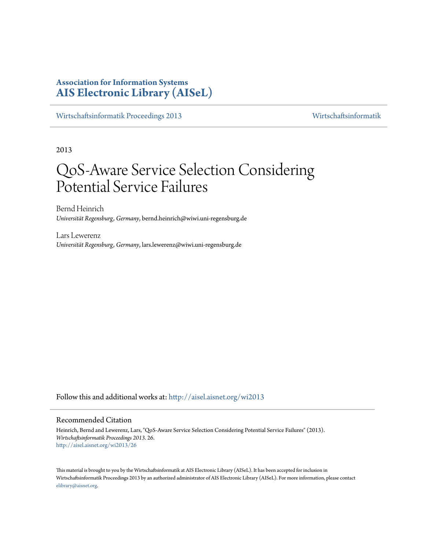## **Association for Information Systems [AIS Electronic Library \(AISeL\)](http://aisel.aisnet.org?utm_source=aisel.aisnet.org%2Fwi2013%2F26&utm_medium=PDF&utm_campaign=PDFCoverPages)**

[Wirtschaftsinformatik Proceedings 2013](http://aisel.aisnet.org/wi2013?utm_source=aisel.aisnet.org%2Fwi2013%2F26&utm_medium=PDF&utm_campaign=PDFCoverPages) [Wirtschaftsinformatik](http://aisel.aisnet.org/wi?utm_source=aisel.aisnet.org%2Fwi2013%2F26&utm_medium=PDF&utm_campaign=PDFCoverPages)

2013

# QoS-Aware Service Selection Considering Potential Service Failures

Bernd Heinrich *Universität Regensburg, Germany*, bernd.heinrich@wiwi.uni-regensburg.de

Lars Lewerenz *Universität Regensburg, Germany*, lars.lewerenz@wiwi.uni-regensburg.de

Follow this and additional works at: [http://aisel.aisnet.org/wi2013](http://aisel.aisnet.org/wi2013?utm_source=aisel.aisnet.org%2Fwi2013%2F26&utm_medium=PDF&utm_campaign=PDFCoverPages)

#### Recommended Citation

Heinrich, Bernd and Lewerenz, Lars, "QoS-Aware Service Selection Considering Potential Service Failures" (2013). *Wirtschaftsinformatik Proceedings 2013*. 26. [http://aisel.aisnet.org/wi2013/26](http://aisel.aisnet.org/wi2013/26?utm_source=aisel.aisnet.org%2Fwi2013%2F26&utm_medium=PDF&utm_campaign=PDFCoverPages)

This material is brought to you by the Wirtschaftsinformatik at AIS Electronic Library (AISeL). It has been accepted for inclusion in Wirtschaftsinformatik Proceedings 2013 by an authorized administrator of AIS Electronic Library (AISeL). For more information, please contact [elibrary@aisnet.org.](mailto:elibrary@aisnet.org%3E)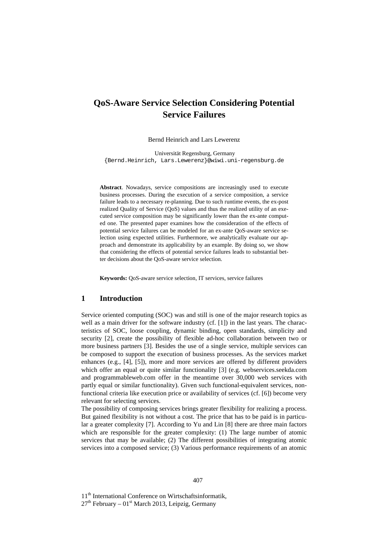## **QoS-Aware Service Selection Considering Potential Service Failures**

Bernd Heinrich and Lars Lewerenz

Universität Regensburg, Germany {Bernd.Heinrich, Lars.Lewerenz}@wiwi.uni-regensburg.de

**Abstract**. Nowadays, service compositions are increasingly used to execute business processes. During the execution of a service composition, a service failure leads to a necessary re-planning. Due to such runtime events, the ex-post realized Quality of Service (QoS) values and thus the realized utility of an executed service composition may be significantly lower than the ex-ante computed one. The presented paper examines how the consideration of the effects of potential service failures can be modeled for an ex-ante QoS-aware service selection using expected utilities. Furthermore, we analytically evaluate our approach and demonstrate its applicability by an example. By doing so, we show that considering the effects of potential service failures leads to substantial better decisions about the QoS-aware service selection.

**Keywords:** QoS-aware service selection, IT services, service failures

#### **1 Introduction**

Service oriented computing (SOC) was and still is one of the major research topics as well as a main driver for the software industry (cf. [1]) in the last years. The characteristics of SOC, loose coupling, dynamic binding, open standards, simplicity and security [2], create the possibility of flexible ad-hoc collaboration between two or more business partners [3]. Besides the use of a single service, multiple services can be composed to support the execution of business processes. As the services market enhances (e.g., [4], [5]), more and more services are offered by different providers which offer an equal or quite similar functionality [3] (e.g. webservices.seekda.com and programmableweb.com offer in the meantime over 30,000 web services with partly equal or similar functionality). Given such functional-equivalent services, nonfunctional criteria like execution price or availability of services (cf. [6]) become very relevant for selecting services.

The possibility of composing services brings greater flexibility for realizing a process. But gained flexibility is not without a cost. The price that has to be paid is in particular a greater complexity [7]. According to Yu and Lin [8] there are three main factors which are responsible for the greater complexity: (1) The large number of atomic services that may be available; (2) The different possibilities of integrating atomic services into a composed service; (3) Various performance requirements of an atomic

11<sup>th</sup> International Conference on Wirtschaftsinformatik,

 $27<sup>th</sup>$  February – 01<sup>st</sup> March 2013, Leipzig, Germany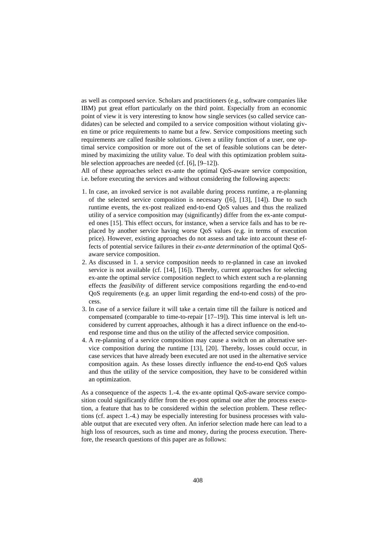as well as composed service. Scholars and practitioners (e.g., software companies like IBM) put great effort particularly on the third point. Especially from an economic point of view it is very interesting to know how single services (so called service candidates) can be selected and compiled to a service composition without violating given time or price requirements to name but a few. Service compositions meeting such requirements are called feasible solutions. Given a utility function of a user, one optimal service composition or more out of the set of feasible solutions can be determined by maximizing the utility value. To deal with this optimization problem suitable selection approaches are needed (cf. [6], [9–12]).

All of these approaches select ex-ante the optimal QoS-aware service composition, i.e. before executing the services and without considering the following aspects:

- 1. In case, an invoked service is not available during process runtime, a re-planning of the selected service composition is necessary ([6], [13], [14]). Due to such runtime events, the ex-post realized end-to-end QoS values and thus the realized utility of a service composition may (significantly) differ from the ex-ante computed ones [15]. This effect occurs, for instance, when a service fails and has to be replaced by another service having worse QoS values (e.g. in terms of execution price). However, existing approaches do not assess and take into account these effects of potential service failures in their *ex-ante determination* of the optimal QoSaware service composition.
- 2. As discussed in 1. a service composition needs to re-planned in case an invoked service is not available (cf. [14], [16]). Thereby, current approaches for selecting ex-ante the optimal service composition neglect to which extent such a re-planning effects the *feasibility* of different service compositions regarding the end-to-end QoS requirements (e.g. an upper limit regarding the end-to-end costs) of the process.
- 3. In case of a service failure it will take a certain time till the failure is noticed and compensated (comparable to time-to-repair [17–19]). This time interval is left unconsidered by current approaches, although it has a direct influence on the end-toend response time and thus on the utility of the affected service composition.
- 4. A re-planning of a service composition may cause a switch on an alternative service composition during the runtime [13], [20]. Thereby, losses could occur, in case services that have already been executed are not used in the alternative service composition again. As these losses directly influence the end-to-end QoS values and thus the utility of the service composition, they have to be considered within an optimization.

As a consequence of the aspects 1.-4. the ex-ante optimal QoS-aware service composition could significantly differ from the ex-post optimal one after the process execution, a feature that has to be considered within the selection problem. These reflections (cf. aspect 1.-4.) may be especially interesting for business processes with valuable output that are executed very often. An inferior selection made here can lead to a high loss of resources, such as time and money, during the process execution. Therefore, the research questions of this paper are as follows: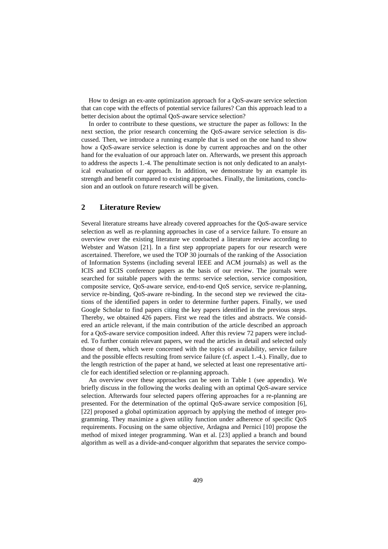How to design an ex-ante optimization approach for a QoS-aware service selection that can cope with the effects of potential service failures? Can this approach lead to a better decision about the optimal QoS-aware service selection?

In order to contribute to these questions, we structure the paper as follows: In the next section, the prior research concerning the QoS-aware service selection is discussed. Then, we introduce a running example that is used on the one hand to show how a QoS-aware service selection is done by current approaches and on the other hand for the evaluation of our approach later on. Afterwards, we present this approach to address the aspects 1.-4. The penultimate section is not only dedicated to an analytical evaluation of our approach. In addition, we demonstrate by an example its strength and benefit compared to existing approaches. Finally, the limitations, conclusion and an outlook on future research will be given.

### **2 Literature Review**

Several literature streams have already covered approaches for the QoS-aware service selection as well as re-planning approaches in case of a service failure. To ensure an overview over the existing literature we conducted a literature review according to Webster and Watson [21]. In a first step appropriate papers for our research were ascertained. Therefore, we used the TOP 30 journals of the ranking of the Association of Information Systems (including several IEEE and ACM journals) as well as the ICIS and ECIS conference papers as the basis of our review. The journals were searched for suitable papers with the terms: service selection, service composition, composite service, QoS-aware service, end-to-end QoS service, service re-planning, service re-binding, QoS-aware re-binding. In the second step we reviewed the citations of the identified papers in order to determine further papers. Finally, we used Google Scholar to find papers citing the key papers identified in the previous steps. Thereby, we obtained 426 papers. First we read the titles and abstracts. We considered an article relevant, if the main contribution of the article described an approach for a QoS-aware service composition indeed. After this review 72 papers were included. To further contain relevant papers, we read the articles in detail and selected only those of them, which were concerned with the topics of availability, service failure and the possible effects resulting from service failure (cf. aspect 1.-4.). Finally, due to the length restriction of the paper at hand, we selected at least one representative article for each identified selection or re-planning approach.

An overview over these approaches can be seen in Table 1 (see appendix). We briefly discuss in the following the works dealing with an optimal QoS-aware service selection. Afterwards four selected papers offering approaches for a re-planning are presented. For the determination of the optimal QoS-aware service composition [6], [22] proposed a global optimization approach by applying the method of integer programming. They maximize a given utility function under adherence of specific QoS requirements. Focusing on the same objective, Ardagna and Pernici [10] propose the method of mixed integer programming. Wan et al. [23] applied a branch and bound algorithm as well as a divide-and-conquer algorithm that separates the service compo-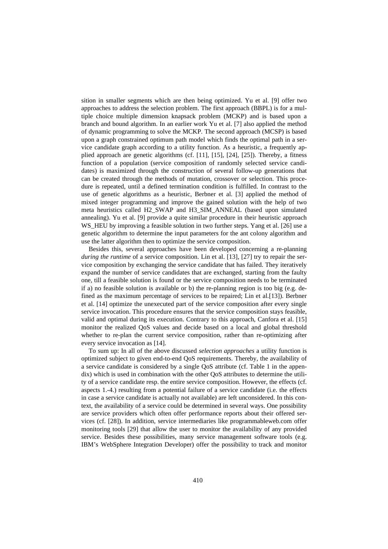sition in smaller segments which are then being optimized. Yu et al. [9] offer two approaches to address the selection problem. The first approach (BBPL) is for a multiple choice multiple dimension knapsack problem (MCKP) and is based upon a branch and bound algorithm. In an earlier work Yu et al. [7] also applied the method of dynamic programming to solve the MCKP. The second approach (MCSP) is based upon a graph constrained optimum path model which finds the optimal path in a service candidate graph according to a utility function. As a heuristic, a frequently applied approach are genetic algorithms (cf. [11], [15], [24], [25]). Thereby, a fitness function of a population (service composition of randomly selected service candidates) is maximized through the construction of several follow-up generations that can be created through the methods of mutation, crossover or selection. This procedure is repeated, until a defined termination condition is fulfilled. In contrast to the use of genetic algorithms as a heuristic, Berbner et al. [3] applied the method of mixed integer programming and improve the gained solution with the help of two meta heuristics called H2\_SWAP and H3\_SIM\_ANNEAL (based upon simulated annealing). Yu et al. [9] provide a quite similar procedure in their heuristic approach WS\_HEU by improving a feasible solution in two further steps. Yang et al. [26] use a genetic algorithm to determine the input parameters for the ant colony algorithm and use the latter algorithm then to optimize the service composition.

Besides this, several approaches have been developed concerning a re-planning *during the runtime* of a service composition. Lin et al. [13], [27] try to repair the service composition by exchanging the service candidate that has failed. They iteratively expand the number of service candidates that are exchanged, starting from the faulty one, till a feasible solution is found or the service composition needs to be terminated if a) no feasible solution is available or b) the re-planning region is too big (e.g. defined as the maximum percentage of services to be repaired; Lin et al.[13]). Berbner et al. [14] optimize the unexecuted part of the service composition after every single service invocation. This procedure ensures that the service composition stays feasible, valid and optimal during its execution. Contrary to this approach, Canfora et al. [15] monitor the realized QoS values and decide based on a local and global threshold whether to re-plan the current service composition, rather than re-optimizing after every service invocation as [14].

To sum up: In all of the above discussed *selection approaches* a utility function is optimized subject to given end-to-end QoS requirements. Thereby, the availability of a service candidate is considered by a single QoS attribute (cf. Table 1 in the appendix) which is used in combination with the other QoS attributes to determine the utility of a service candidate resp. the entire service composition. However, the effects (cf. aspects 1.-4.) resulting from a potential failure of a service candidate (i.e. the effects in case a service candidate is actually not available) are left unconsidered. In this context, the availability of a service could be determined in several ways. One possibility are service providers which often offer performance reports about their offered services (cf. [28]). In addition, service intermediaries like programmableweb.com offer monitoring tools [29] that allow the user to monitor the availability of any provided service. Besides these possibilities, many service management software tools (e.g. IBM's WebSphere Integration Developer) offer the possibility to track and monitor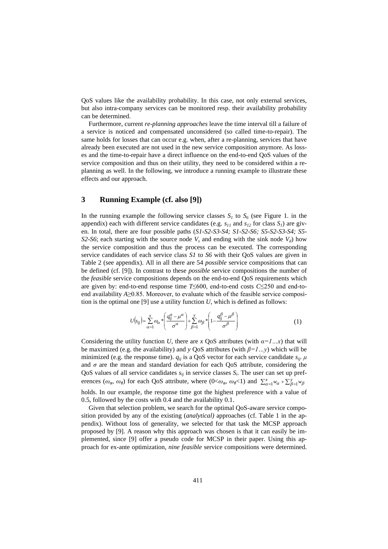QoS values like the availability probability. In this case, not only external services, but also intra-company services can be monitored resp. their availability probability can be determined.

Furthermore, current *re-planning approaches* leave the time interval till a failure of a service is noticed and compensated unconsidered (so called time-to-repair). The same holds for losses that can occur e.g. when, after a re-planning, services that have already been executed are not used in the new service composition anymore. As losses and the time-to-repair have a direct influence on the end-to-end QoS values of the service composition and thus on their utility, they need to be considered within a replanning as well. In the following, we introduce a running example to illustrate these effects and our approach.

### **3 Running Example (cf. also [9])**

In the running example the following service classes  $S_I$  to  $S_6$  (see Figure 1. in the appendix) each with different service candidates (e.g.  $s_{11}$  and  $s_{12}$  for class  $S_1$ ) are given. In total, there are four possible paths (*S1-S2-S3-S4; S1-S2-S6; S5-S2-S3-S4; S5- S2-S6*; each starting with the source node  $V_s$  and ending with the sink node  $V_d$ ) how the service composition and thus the process can be executed. The corresponding service candidates of each service class *S1* to *S6* with their QoS values are given in Table 2 (see appendix). All in all there are 54 *possible* service compositions that can be defined (cf. [9]). In contrast to these *possible* service compositions the number of the *feasible* service compositions depends on the end-to-end QoS requirements which are given by: end-to-end response time *T*≤600, end-to-end costs *C*≤250 and end-toend availability *A*≥0.85. Moreover, to evaluate which of the feasible service composition is the optimal one [9] use a utility function *U*, which is defined as follows:

$$
U(s_{ij}) = \sum_{\alpha=1}^{x} \omega_{\alpha} * \left( \frac{q_{ij}^{\alpha} - \mu^{\alpha}}{\sigma^{\alpha}} \right) + \sum_{\beta=1}^{y} \omega_{\beta} * \left( 1 - \frac{q_{ij}^{\beta} - \mu^{\beta}}{\sigma^{\beta}} \right)
$$
(1)

Considering the utility function *U*, there are *x* QoS attributes (with  $\alpha = I \dots x$ ) that will be maximized (e.g. the availability) and *y* QoS attributes (with *β=1…y*) which will be minimized (e.g. the response time).  $q_{ij}$  is a QoS vector for each service candidate  $s_{ij}$ .  $\mu$ and *σ* are the mean and standard deviation for each QoS attribute, considering the QoS values of all service candidates  $s_{ij}$  in service classes  $S_i$ . The user can set up preferences  $(\omega_{\alpha}, \omega_{\beta})$  for each QoS attribute, where  $(0 < \omega_{\alpha}, \omega_{\beta} < 1)$  and  $\sum_{\alpha=1}^{x} w_{\alpha} + \sum_{\beta=1}^{y} w_{\beta}$ 

holds. In our example, the response time got the highest preference with a value of 0.5, followed by the costs with 0.4 and the availability 0.1.

Given that selection problem, we search for the optimal QoS-aware service composition provided by any of the existing (*analytical)* approaches (cf. Table 1 in the appendix). Without loss of generality, we selected for that task the MCSP approach proposed by [9]. A reason why this approach was chosen is that it can easily be implemented, since [9] offer a pseudo code for MCSP in their paper. Using this approach for ex-ante optimization, *nine feasible* service compositions were determined.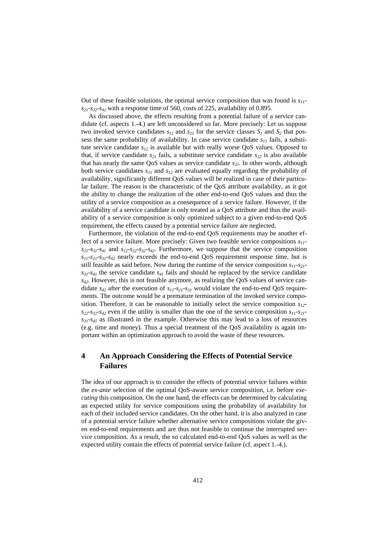Out of these feasible solutions, the optimal service composition that was found is *s11*  $s_{21}$ - $s_{32}$ - $s_{42}$  with a response time of 560, costs of 225, availability of 0.895.

As discussed above, the effects resulting from a potential failure of a service candidate (cf. aspects 1.-4.) are left unconsidered so far. More precisely: Let us suppose two invoked service candidates  $s_{11}$  and  $s_{21}$  for the service classes  $S_1$  and  $S_2$  that possess the same probability of availability. In case service candidate *s<sup>11</sup>* fails, a substitute service candidate  $s_{12}$  is available but with really worse QoS values. Opposed to that, if service candidate  $s_{21}$  fails, a substitute service candidate  $s_{22}$  is also available that has nearly the same QoS values as service candidate *s21*. In other words, although both service candidates  $s_{11}$  and  $s_{12}$  are evaluated equally regarding the probability of availability, significantly different QoS values will be realized in case of their particular failure. The reason is the characteristic of the QoS attribute availability, as it got the ability to change the realization of the other end-to-end QoS values and thus the utility of a service composition as a consequence of a service failure. However, if the availability of a service candidate is only treated as a QoS attribute and thus the availability of a service composition is only optimized subject to a given end-to-end QoS requirement, the effects caused by a potential service failure are neglected.

Furthermore, the violation of the end-to-end QoS requirements may be another effect of a service failure. More precisely: Given two feasible service compositions *s11 s21-s31-s<sup>41</sup>* and *s12-s22-s32-s42*. Furthermore, we suppose that the service composition *s11-s21-s31-s<sup>42</sup>* nearly exceeds the end-to-end QoS requirement response time, but is still feasible as said before. Now during the runtime of the service composition *s11-s21*  $s_{31}$ -s<sub>41</sub> the service candidate  $s_{41}$  fails and should be replaced by the service candidate *s42*. However, this is not feasible anymore, as realizing the QoS values of service candidate *s<sup>42</sup>* after the execution of *s11-s21-s<sup>31</sup>* would violate the end-to-end QoS requirements. The outcome would be a premature termination of the invoked service composition. Therefore, it can be reasonable to initially select the service composition *s12*  $s_{22}$ *-s*<sub>32</sub>*-s*<sub>42</sub> even if the utility is smaller than the one of the service composition  $s_{11}$ -s<sub>21</sub> $s_{31}$ -s<sub>41</sub> as illustrated in the example. Otherwise this may lead to a loss of resources (e.g. time and money). Thus a special treatment of the QoS availability is again important within an optimization approach to avoid the waste of these resources.

## **4 An Approach Considering the Effects of Potential Service Failures**

The idea of our approach is to consider the effects of potential service failures within the *ex-ante* selection of the optimal QoS-aware service composition, i.e. before *executing* this composition. On the one hand, the effects can be determined by calculating an expected utility for service compositions using the probability of availability for each of their included service candidates. On the other hand, it is also analyzed in case of a potential service failure whether alternative service compositions violate the given end-to-end requirements and are thus not feasible to continue the interrupted service composition. As a result, the so calculated end-to-end QoS values as well as the expected utility contain the effects of potential service failure (cf. aspect 1.-4.).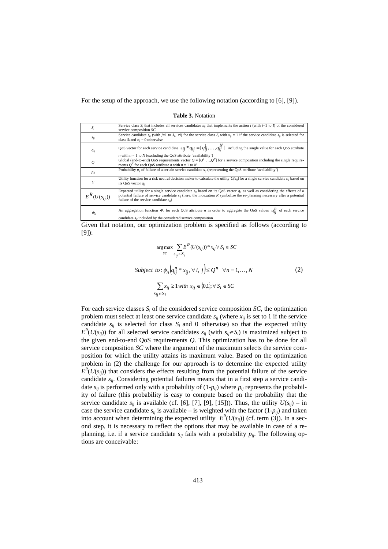For the setup of the approach, we use the following notation (according to [6], [9]).

**Table 3.** Notation

| $S_i$            | Service class $S_i$ that includes all services candidates $s_{ii}$ that implements the action i (with i=1 to I) of the considered<br>service composition $SC$                                                                                                                                                     |
|------------------|-------------------------------------------------------------------------------------------------------------------------------------------------------------------------------------------------------------------------------------------------------------------------------------------------------------------|
| $S_{ij}$         | Service candidate $s_{ii}$ (with $j=1$ to $J_i$ $\forall i$ ) for the service class $S_i$ with $x_{ii} = 1$ if the service candidate $s_{ii}$ is selected for<br>class $S_i$ and $x_{ii} = 0$ otherwise                                                                                                           |
| $q_{ii}$         | QoS vector for each service candidate $s_{ij} * q_{ij} = [q_{ij}^1, , q_{ij}^N]$ including the single value for each QoS attribute<br><i>n</i> with $n = 1$ to N (excluding the QoS attribute 'availability')                                                                                                     |
| Q                | Global (end-to-end) QoS requirements vector $Q = [Q^1, , Q^N]$ for a service composition including the single require-<br>ments O <sup>N</sup> for each QoS attribute <i>n</i> with $n = 1$ to N                                                                                                                  |
| $p_{ij}$         | Probability $p_{ii}$ of failure of a certain service candidate $s_{ii}$ (representing the QoS attribute 'availability')                                                                                                                                                                                           |
| U                | Utility function for a risk neutral decision maker to calculate the utility $U(s_{ii})$ for a single service candidate $s_{ii}$ based on<br>its QoS vector $q_{ii}$                                                                                                                                               |
| $E^R(U(s_{ii}))$ | Expected utility for a single service candidate $s_{ij}$ based on its QoS vector $q_{ij}$ as well as considering the effects of a<br>potential failure of service candidate $s_{ii}$ (here, the indexation R symbolize the re-planning necessary after a potential<br>failure of the service candidate $s_{ii}$ ) |
| $\Phi_n$         | An aggregation function $\Phi_n$ for each QoS attribute <i>n</i> in order to aggregate the QoS values $q_{ii}^n$ of each service<br>candidate $s_{ii}$ included by the considered service composition                                                                                                             |

Given that notation, our optimization problem is specified as follows (according to [9]):

$$
\arg \max_{sc} \sum_{sj_i \in S_i} E^R(U(s_{ij}))^* x_{ij} \forall s_i \in SC
$$
  
Subject to:  $\phi_n \Big( q_{ij}^n * x_{ij}, \forall i, j \Big) \le Q^n \quad \forall n = 1, ..., N$   

$$
\sum_{sj_i \in S_i} x_{ij} \ge 1 \text{ with } x_{ij} \in \{0, 1\}; \forall s_i \in SC
$$
 (2)

For each service classes  $S_i$  of the considered service composition  $SC$ , the optimization problem must select at least one service candidate  $s_{ij}$  (where  $x_{ij}$  is set to 1 if the service candidate  $s_{ij}$  is selected for class  $S_i$  and 0 otherwise) so that the expected utility  $E^{R}(U(s_{ij}))$  for all selected service candidates  $s_{ij}$  (with  $s_{ij} \in S_i$ ) is maximized subject to the given end-to-end QoS requirements *Q*. This optimization has to be done for all service composition *SC* where the argument of the maximum selects the service composition for which the utility attains its maximum value. Based on the optimization problem in (2) the challenge for our approach is to determine the expected utility  $E^{R}(U(s_{ij}))$  that considers the effects resulting from the potential failure of the service candidate *sij*. Considering potential failures means that in a first step a service candidate  $s_{ij}$  is performed only with a probability of  $(1-p_{ij})$  where  $p_{ij}$  represents the probability of failure (this probability is easy to compute based on the probability that the service candidate  $s_{ij}$  is available (cf. [6], [7], [9], [15])). Thus, the utility  $U(s_{ij})$  – in case the service candidate  $s_{ij}$  is available – is weighted with the factor  $(1-p_{ij})$  and taken into account when determining the expected utility  $E^{R}(U(s_{ij}))$  (cf. term (3)). In a second step, it is necessary to reflect the options that may be available in case of a replanning, i.e. if a service candidate  $s_{ij}$  fails with a probability  $p_{ij}$ . The following options are conceivable: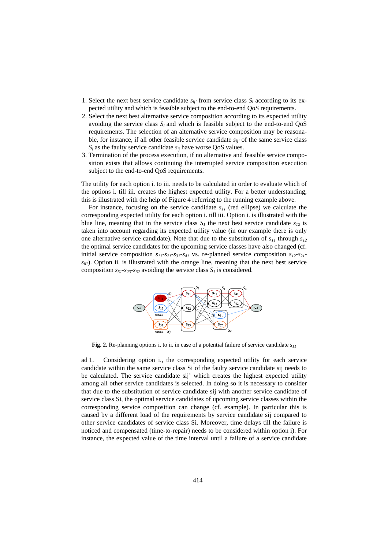- 1. Select the next best service candidate  $s_{ij}$  from service class  $S_i$  according to its expected utility and which is feasible subject to the end-to-end QoS requirements.
- 2. Select the next best alternative service composition according to its expected utility avoiding the service class  $S_i$  and which is feasible subject to the end-to-end  $QoS$ requirements. The selection of an alternative service composition may be reasonable, for instance, if all other feasible service candidate *sij'* of the same service class  $S_i$  as the faulty service candidate  $s_{ij}$  have worse QoS values.
- 3. Termination of the process execution, if no alternative and feasible service composition exists that allows continuing the interrupted service composition execution subject to the end-to-end QoS requirements.

The utility for each option i. to iii. needs to be calculated in order to evaluate which of the options i. till iii. creates the highest expected utility. For a better understanding, this is illustrated with the help of Figure 4 referring to the running example above.

For instance, focusing on the service candidate *s<sup>11</sup>* (red ellipse) we calculate the corresponding expected utility for each option i. till iii. Option i. is illustrated with the blue line, meaning that in the service class  $S_I$  the next best service candidate  $S_{I2}$  is taken into account regarding its expected utility value (in our example there is only one alternative service candidate). Note that due to the substitution of  $s_{11}$  through  $s_{12}$ the optimal service candidates for the upcoming service classes have also changed (cf. initial service composition  $s_{11}$ *-s*<sub>21</sub>*-s*<sub>31</sub>*-s*<sub>41</sub> vs. re-planned service composition  $s_{12}$ *-s*<sub>21</sub>*s61*). Option ii. is illustrated with the orange line, meaning that the next best service composition  $s_{51}$ - $s_{23}$ - $s_{62}$  avoiding the service class  $S_I$  is considered.



**Fig. 2.** Re-planning options i. to ii. in case of a potential failure of service candidate *s<sup>11</sup>*

ad 1. Considering option i., the corresponding expected utility for each service candidate within the same service class Si of the faulty service candidate sij needs to be calculated. The service candidate sij' which creates the highest expected utility among all other service candidates is selected. In doing so it is necessary to consider that due to the substitution of service candidate sij with another service candidate of service class Si, the optimal service candidates of upcoming service classes within the corresponding service composition can change (cf. example). In particular this is caused by a different load of the requirements by service candidate sij compared to other service candidates of service class Si. Moreover, time delays till the failure is noticed and compensated (time-to-repair) needs to be considered within option i). For instance, the expected value of the time interval until a failure of a service candidate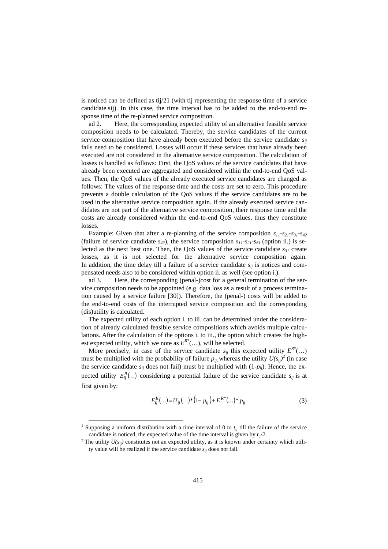is noticed can be defined as tij/21 (with tij representing the response time of a service candidate sij). In this case, the time interval has to be added to the end-to-end response time of the re-planned service composition.

ad 2. Here, the corresponding expected utility of an alternative feasible service composition needs to be calculated. Thereby, the service candidates of the current service composition that have already been executed before the service candidate  $s_{ii}$ fails need to be considered. Losses will occur if these services that have already been executed are not considered in the alternative service composition. The calculation of losses is handled as follows: First, the QoS values of the service candidates that have already been executed are aggregated and considered within the end-to-end QoS values. Then, the QoS values of the already executed service candidates are changed as follows: The values of the response time and the costs are set to zero. This procedure prevents a double calculation of the QoS values if the service candidates are to be used in the alternative service composition again. If the already executed service candidates are not part of the alternative service composition, their response time and the costs are already considered within the end-to-end QoS values, thus they constitute losses.

Example: Given that after a re-planning of the service composition  $s_{11}$ - $s_{21}$ - $s_{31}$ - $s_{42}$ (failure of service candidate  $s_{42}$ ), the service composition  $s_{11}$ - $s_{21}$ - $s_{61}$  (option ii.) is selected as the next best one. Then, the QoS values of the service candidate *s<sup>31</sup>* create losses, as it is not selected for the alternative service composition again. In addition, the time delay till a failure of a service candidate  $s_{ij}$  is notices and compensated needs also to be considered within option ii. as well (see option i.).

ad 3. Here, the corresponding (penal-)cost for a general termination of the service composition needs to be appointed (e.g. data loss as a result of a process termination caused by a service failure [30]). Therefore, the (penal-) costs will be added to the end-to-end costs of the interrupted service composition and the corresponding (dis)utility is calculated.

The expected utility of each option i. to iii. can be determined under the consideration of already calculated feasible service compositions which avoids multiple calculations. After the calculation of the options i. to iii., the option which creates the highest expected utility, which we note as  $E^{R^*}(\ldots)$ , will be selected.

More precisely, in case of the service candidate  $s_{ij}$  this expected utility  $E^{R^*}(\ldots)$ must be multiplied with the probability of failure  $p_{ij}$ , whereas the utility  $U(s_{ij})^2$  (in case the service candidate  $s_{ij}$  does not fail) must be multiplied with  $(1-p_{ij})$ . Hence, the expected utility  $E_{ij}^R(...)$  considering a potential failure of the service candidate  $s_{ij}$  is at first given by:

$$
E_{ij}^{R}(...) = U_{ij}(...)^{*}(1-p_{ij}) + E^{R^{*}}(...)^{*} p_{ij}
$$
 (3)

-

<sup>&</sup>lt;sup>1</sup> Supposing a uniform distribution with a time interval of 0 to  $t_{ij}$  till the failure of the service candidate is noticed, the expected value of the time interval is given by  $t_{ii}/2$ .

<sup>&</sup>lt;sup>2</sup> The utility  $U(s_{ij})$  constitutes not an expected utility, as it is known under certainty which utility value will be realized if the service candidate *sij* does not fail.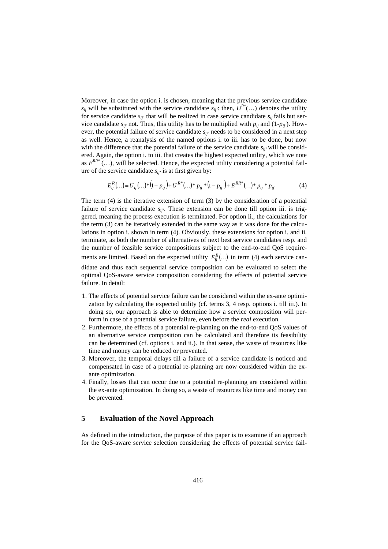Moreover, in case the option i. is chosen, meaning that the previous service candidate  $s_{ij}$  will be substituted with the service candidate  $s_{ij}$ : then,  $U^{R^*}(\ldots)$  denotes the utility for service candidate  $s_{ij}$  that will be realized in case service candidate  $s_{ij}$  fails but service candidate  $s_{ij}$  not. Thus, this utility has to be multiplied with  $p_{ij}$  and  $(1-p_{ij})$ . However, the potential failure of service candidate *sij'* needs to be considered in a next step as well. Hence, a reanalysis of the named options i. to iii. has to be done, but now with the difference that the potential failure of the service candidate  $s_{ii'}$  will be considered. Again, the option i. to iii. that creates the highest expected utility, which we note as  $E^{RR*}$  (...), will be selected. Hence, the expected utility considering a potential failure of the service candidate  $s_{ij}$  is at first given by:

$$
E_{ij}^{R}(...) = U_{ij}(...)^{*}(1-p_{ij}) + U^{R^{*}}(...)^{*} p_{ij} {}^{*}(1-p_{ij}) + E^{RR^{*}}(...)^{*} p_{ij} {}^{*} p_{ij'} \tag{4}
$$

The term (4) is the iterative extension of term (3) by the consideration of a potential failure of service candidate *sij'*. These extension can be done till option iii. is triggered, meaning the process execution is terminated. For option ii., the calculations for the term (3) can be iteratively extended in the same way as it was done for the calculations in option i. shown in term (4). Obviously, these extensions for option i. and ii. terminate, as both the number of alternatives of next best service candidates resp. and the number of feasible service compositions subject to the end-to-end QoS requirements are limited. Based on the expected utility  $E_{ij}^R(...)$  in term (4) each service can-

didate and thus each sequential service composition can be evaluated to select the optimal QoS-aware service composition considering the effects of potential service failure. In detail:

- 1. The effects of potential service failure can be considered within the ex-ante optimization by calculating the expected utility (cf. terms 3, 4 resp. options i. till iii.). In doing so, our approach is able to determine how a service composition will perform in case of a potential service failure, even before the *real* execution.
- 2. Furthermore, the effects of a potential re-planning on the end-to-end QoS values of an alternative service composition can be calculated and therefore its feasibility can be determined (cf. options i. and ii.). In that sense, the waste of resources like time and money can be reduced or prevented.
- 3. Moreover, the temporal delays till a failure of a service candidate is noticed and compensated in case of a potential re-planning are now considered within the exante optimization.
- 4. Finally, losses that can occur due to a potential re-planning are considered within the ex-ante optimization. In doing so, a waste of resources like time and money can be prevented.

## **5 Evaluation of the Novel Approach**

As defined in the introduction, the purpose of this paper is to examine if an approach for the QoS-aware service selection considering the effects of potential service fail-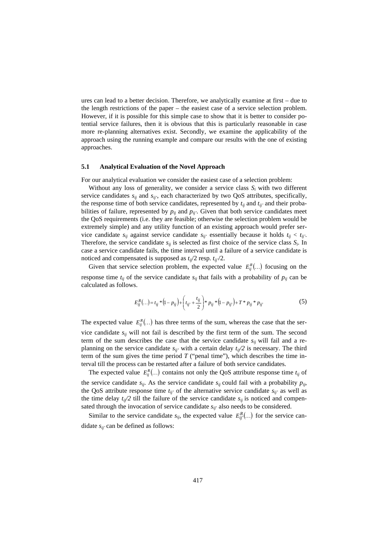ures can lead to a better decision. Therefore, we analytically examine at first – due to the length restrictions of the paper – the easiest case of a service selection problem. However, if it is possible for this simple case to show that it is better to consider potential service failures, then it is obvious that this is particularly reasonable in case more re-planning alternatives exist. Secondly, we examine the applicability of the approach using the running example and compare our results with the one of existing approaches.

#### **5.1 Analytical Evaluation of the Novel Approach**

For our analytical evaluation we consider the easiest case of a selection problem:

Without any loss of generality, we consider a service class  $S_i$  with two different service candidates  $s_{ij}$  and  $s_{ij}$ <sup>2</sup>, each characterized by two QoS attributes, specifically, the response time of both service candidates, represented by  $t_{ij}$  and  $t_{ij'}$  and their probabilities of failure, represented by  $p_{ij}$  and  $p_{ij}$ . Given that both service candidates meet the QoS requirements (i.e. they are feasible; otherwise the selection problem would be extremely simple) and any utility function of an existing approach would prefer service candidate  $s_{ij}$  against service candidate  $s_{ij}$  essentially because it holds  $t_{ij} < t_{ij}$ . Therefore, the service candidate  $s_{ij}$  is selected as first choice of the service class  $S_i$ . In case a service candidate fails, the time interval until a failure of a service candidate is noticed and compensated is supposed as *tij*/2 resp. *tij'*/2.

Given that service selection problem, the expected value  $E_{ij}^R(...)$  focusing on the response time  $t_{ij}$  of the service candidate  $s_{ij}$  that fails with a probability of  $p_{ij}$  can be calculated as follows.

$$
E_{ij}^{R}(...) = t_{ij} * (1 - p_{ij}) + (t_{ij} + \frac{t_{ij}}{2}) * p_{ij} * (1 - p_{ij}) + T * p_{ij} * p_{ij}
$$
 (5)

The expected value  $E_{ij}^R(...)$  has three terms of the sum, whereas the case that the service candidate  $s_{ij}$  will not fail is described by the first term of the sum. The second term of the sum describes the case that the service candidate  $s_{ij}$  will fail and a replanning on the service candidate  $s_{ij}$  with a certain delay  $t_{ij}/2$  is necessary. The third term of the sum gives the time period  $T$  ("penal time"), which describes the time interval till the process can be restarted after a failure of both service candidates.

The expected value  $E_{ij}^R$ (...) contains not only the QoS attribute response time  $t_{ij}$  of the service candidate  $s_{ij}$ . As the service candidate  $s_{ij}$  could fail with a probability  $p_{ij}$ , the QoS attribute response time  $t_{ij}$  of the alternative service candidate  $s_{ij}$  as well as the time delay  $t_{i}/2$  till the failure of the service candidate  $s_{i}$  is noticed and compensated through the invocation of service candidate  $s_{ij}$  also needs to be considered.

Similar to the service candidate  $s_{ij}$ , the expected value  $E_{ij}^R(...)$  for the service candidate *sij'* can be defined as follows: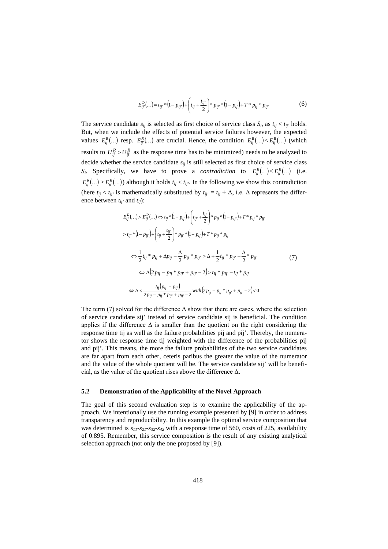$$
E_{ij}^{R}(\ldots) = t_{ij} * (1 - p_{ij}) + \left( t_{ij} + \frac{t_{ij}}{2} \right) * p_{ij} * (1 - p_{ij}) + T * p_{ij} * p_{ij}
$$
 (6)

The service candidate  $s_{ij}$  is selected as first choice of service class  $S_i$ , as  $t_{ij} < t_{ij'}$  holds. But, when we include the effects of potential service failures however, the expected values  $E_{ij}^R(...)$  resp.  $E_{ij}^R(...)$  are crucial. Hence, the condition  $E_{ij}^R(...) < E_{ij}^R(...)$  (which results to  $U_{ij}^R > U_{ij}^R$  as the response time has to be minimized) needs to be analyzed to decide whether the service candidate  $s_{ij}$  is still selected as first choice of service class *S<sub>i</sub>*. Specifically, we have to prove a *contradiction* to  $E_{ij}^R(...) < E_{ij}^R(...)$  (i.e.  $E_{ij}^R(...) \ge E_{ij}^R(...)$ ) although it holds  $t_{ij} < t_{ij}$ . In the following we show this contradiction (here  $t_{ij} < t_{ij'}$  is mathematically substituted by  $t_{ij'} = t_{ij} + \Delta$ , i.e.  $\Delta$  represents the difference between *tij'* and *tij*):

$$
E_{ij}^{R}(...) > E_{ij}^{R}(...) \Leftrightarrow t_{ij} * (1 - p_{ij}) + (t_{ij} + \frac{t_{ij}}{2}) * p_{ij} * (1 - p_{ij}) + T * p_{ij} * p_{ij}
$$
  
\n
$$
> t_{ij} * (1 - p_{ij}) + (t_{ij} + \frac{t_{ij}}{2}) * p_{ij} * (1 - p_{ij}) + T * p_{ij} * p_{ij}
$$
  
\n
$$
\Leftrightarrow \frac{1}{2} t_{ij} * p_{ij} + \Delta p_{ij} - \frac{\Delta}{2} p_{ij} * p_{ij} > \Delta + \frac{1}{2} t_{ij} * p_{ij} - \frac{\Delta}{2} * p_{ij}
$$
  
\n
$$
\Leftrightarrow \Delta (2 p_{ij} - p_{ij} * p_{ij} + p_{ij} - 2) > t_{ij} * p_{ij} - t_{ij} * p_{ij}
$$
  
\n
$$
\Leftrightarrow \Delta < \frac{t_{ij} (p_{ij} - p_{ij})}{2 p_{ij} - p_{ij} * p_{ij} + p_{ij} - 2} with (2 p_{ij} - p_{ij} * p_{ij} + p_{ij} - 2) < 0
$$

The term (7) solved for the difference  $\Delta$  show that there are cases, where the selection of service candidate sij' instead of service candidate sij is beneficial. The condition applies if the difference  $\Delta$  is smaller than the quotient on the right considering the response time tij as well as the failure probabilities pij and pij'. Thereby, the numerator shows the response time tij weighted with the difference of the probabilities pij and pij'. This means, the more the failure probabilities of the two service candidates are far apart from each other, ceteris paribus the greater the value of the numerator and the value of the whole quotient will be. The service candidate sij' will be beneficial, as the value of the quotient rises above the difference Δ.

#### **5.2 Demonstration of the Applicability of the Novel Approach**

The goal of this second evaluation step is to examine the applicability of the approach. We intentionally use the running example presented by [9] in order to address transparency and reproducibility. In this example the optimal service composition that was determined is *s11-s21-s32-s<sup>42</sup>* with a response time of 560, costs of 225, availability of 0.895. Remember, this service composition is the result of any existing analytical selection approach (not only the one proposed by [9]).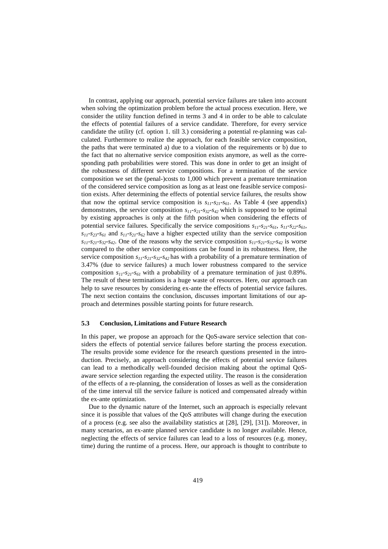In contrast, applying our approach, potential service failures are taken into account when solving the optimization problem before the actual process execution. Here, we consider the utility function defined in terms 3 and 4 in order to be able to calculate the effects of potential failures of a service candidate. Therefore, for every service candidate the utility (cf. option 1. till 3.) considering a potential re-planning was calculated. Furthermore to realize the approach, for each feasible service composition, the paths that were terminated a) due to a violation of the requirements or b) due to the fact that no alternative service composition exists anymore, as well as the corresponding path probabilities were stored. This was done in order to get an insight of the robustness of different service compositions. For a termination of the service composition we set the (penal-)costs to 1,000 which prevent a premature termination of the considered service composition as long as at least one feasible service composition exists. After determining the effects of potential service failures, the results show that now the optimal service composition is  $s_{11}$ - $s_{21}$ - $s_{61}$ . As Table 4 (see appendix) demonstrates, the service composition *s11-s21-s32-s42* which is supposed to be optimal by existing approaches is only at the fifth position when considering the effects of potential service failures. Specifically the service compositions *s11-s21-s61*, *s11-s22-s61*,  $s_{11}$ -s<sub>23</sub>-s<sub>61</sub> and  $s_{11}$ -s<sub>21</sub>-s<sub>62</sub> have a higher expected utility than the service composition  $s_{11}$ *-s*<sub>21</sub>*-s*<sub>32</sub>*-s*<sub>42</sub>. One of the reasons why the service composition  $s_{11}$ *-s*<sub>21</sub>*-s*<sub>32</sub>*-s*<sub>42</sub> is worse compared to the other service compositions can be found in its robustness. Here, the service composition *s11-s21-s32-s42* has with a probability of a premature termination of 3.47% (due to service failures) a much lower robustness compared to the service composition  $s_{11}$ -s<sub>21</sub>-s<sub>61</sub> with a probability of a premature termination of just 0.89%. The result of these terminations is a huge waste of resources. Here, our approach can help to save resources by considering ex-ante the effects of potential service failures. The next section contains the conclusion, discusses important limitations of our approach and determines possible starting points for future research.

#### **5.3 Conclusion, Limitations and Future Research**

In this paper, we propose an approach for the QoS-aware service selection that considers the effects of potential service failures before starting the process execution. The results provide some evidence for the research questions presented in the introduction. Precisely, an approach considering the effects of potential service failures can lead to a methodically well-founded decision making about the optimal QoSaware service selection regarding the expected utility. The reason is the consideration of the effects of a re-planning, the consideration of losses as well as the consideration of the time interval till the service failure is noticed and compensated already within the ex-ante optimization.

Due to the dynamic nature of the Internet, such an approach is especially relevant since it is possible that values of the QoS attributes will change during the execution of a process (e.g. see also the availability statistics at [28], [29], [31]). Moreover, in many scenarios, an ex-ante planned service candidate is no longer available. Hence, neglecting the effects of service failures can lead to a loss of resources (e.g. money, time) during the runtime of a process. Here, our approach is thought to contribute to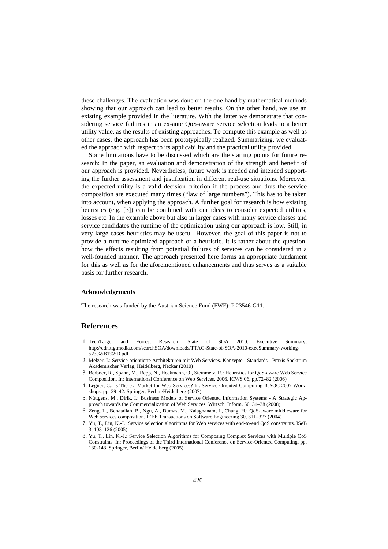these challenges. The evaluation was done on the one hand by mathematical methods showing that our approach can lead to better results. On the other hand, we use an existing example provided in the literature. With the latter we demonstrate that considering service failures in an ex-ante QoS-aware service selection leads to a better utility value, as the results of existing approaches. To compute this example as well as other cases, the approach has been prototypically realized. Summarizing, we evaluated the approach with respect to its applicability and the practical utility provided.

Some limitations have to be discussed which are the starting points for future research: In the paper, an evaluation and demonstration of the strength and benefit of our approach is provided. Nevertheless, future work is needed and intended supporting the further assessment and justification in different real-use situations. Moreover, the expected utility is a valid decision criterion if the process and thus the service composition are executed many times ("law of large numbers"). This has to be taken into account, when applying the approach. A further goal for research is how existing heuristics (e.g. [3]) can be combined with our ideas to consider expected utilities, losses etc. In the example above but also in larger cases with many service classes and service candidates the runtime of the optimization using our approach is low. Still, in very large cases heuristics may be useful. However, the goal of this paper is not to provide a runtime optimized approach or a heuristic. It is rather about the question, how the effects resulting from potential failures of services can be considered in a well-founded manner. The approach presented here forms an appropriate fundament for this as well as for the aforementioned enhancements and thus serves as a suitable basis for further research.

#### **Acknowledgements**

The research was funded by the Austrian Science Fund (FWF): P 23546-G11.

#### **References**

- 1. TechTarget and Forrest Research: State of SOA 2010: Executive Summary, http://cdn.ttgtmedia.com/searchSOA/downloads/TTAG-State-of-SOA-2010-execSummary-working-523%5B1%5D.pdf
- 2. Melzer, I.: Service-orientierte Architekturen mit Web Services. Konzepte Standards Praxis Spektrum Akademischer Verlag, Heidelberg, Neckar (2010)
- 3. Berbner, R., Spahn, M., Repp, N., Heckmann, O., Steinmetz, R.: Heuristics for QoS-aware Web Service Composition. In: International Conference on Web Services, 2006. ICWS 06, pp.72–82 (2006)
- 4. Legner, C.: Is There a Market for Web Services? In: Service-Oriented Computing-ICSOC 2007 Workshops, pp. 29–42. Springer, Berlin /Heidelberg (2007)
- 5. Nüttgens, M., Dirik, I.: Business Models of Service Oriented Information Systems A Strategic Approach towards the Commercialization of Web Services. Wirtsch. Inform. 50, 31–38 (2008)
- 6. Zeng, L., Benatallah, B., Ngu, A., Dumas, M., Kalagnanam, J., Chang, H.: QoS-aware middleware for Web services composition. IEEE Transactions on Software Engineering 30, 311–327 (2004)
- 7. Yu, T., Lin, K.-J.: Service selection algorithms for Web services with end-to-end QoS constraints. ISeB 3, 103–126 (2005)
- 8. Yu, T., Lin, K.-J.: Service Selection Algorithms for Composing Complex Services with Multiple QoS Constraints. In: Proceedings of the Third International Conference on Service-Oriented Computing, pp. 130-143. Springer, Berlin/ Heidelberg (2005)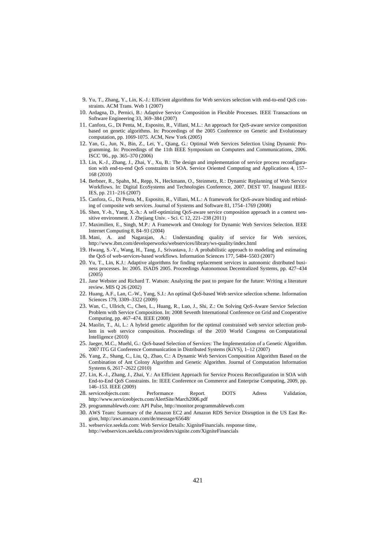- 9. Yu, T., Zhang, Y., Lin, K.-J.: Efficient algorithms for Web services selection with end-to-end QoS constraints. ACM Trans. Web 1 (2007)
- 10. Ardagna, D., Pernici, B.: Adaptive Service Composition in Flexible Processes. IEEE Transactions on Software Engineering 33, 369–384 (2007)
- 11. Canfora, G., Di Penta, M., Esposito, R., Villani, M.L.: An approach for QoS-aware service composition based on genetic algorithms. In: Proceedings of the 2005 Conference on Genetic and Evolutionary computation, pp. 1069-1075. ACM, New York (2005)
- 12. Yan, G., Jun, N., Bin, Z., Lei, Y., Qiang, G.: Optimal Web Services Selection Using Dynamic Programming. In: Proceedings of the 11th IEEE Symposium on Computers and Communications, 2006. ISCC '06., pp. 365–370 (2006)
- 13. Lin, K.-J., Zhang, J., Zhai, Y., Xu, B.: The design and implementation of service process reconfiguration with end-to-end QoS constraints in SOA. Service Oriented Computing and Applications 4, 157– 168 (2010)
- 14. Berbner, R., Spahn, M., Repp, N., Heckmann, O., Steinmetz, R.: Dynamic Replanning of Web Service Workflows. In: Digital EcoSystems and Technologies Conference, 2007. DEST '07. Inaugural IEEE-IES, pp. 211–216 (2007)
- 15. Canfora, G., Di Penta, M., Esposito, R., Villani, M.L.: A framework for QoS-aware binding and rebinding of composite web services. Journal of Systems and Software 81, 1754–1769 (2008)
- 16. Shen, Y.-h., Yang, X.-h.: A self-optimizing QoS-aware service composition approach in a context sensitive environment. J. Zhejiang Univ. - Sci. C 12, 221–238 (2011)
- 17. Maximilien, E., Singh, M.P.: A Framework and Ontology for Dynamic Web Services Selection. IEEE Internet Computing 8, 84–93 (2004)
- 18. Mani, A. and Nagarajan, A.: Understanding quality of service for Web services, http://www.ibm.com/developerworks/webservices/library/ws-quality/index.html
- 19. Hwang, S.-Y., Wang, H., Tang, J., Srivastava, J.: A probabilistic approach to modeling and estimating the QoS of web-services-based workflows. Information Sciences 177, 5484–5503 (2007)
- 20. Yu, T., Lin, K.J.: Adaptive algorithms for finding replacement services in autonomic distributed business processes. In: 2005. ISADS 2005. Proceedings Autonomous Decentralized Systems, pp. 427–434  $(2005)$
- 21. Jane Webster and Richard T. Watson: Analyzing the past to prepare for the future: Writing a literature review. MIS Q 26 (2002)
- 22. Huang, A.F., Lan, C.-W., Yang, S.J.: An optimal QoS-based Web service selection scheme. Information Sciences 179, 3309–3322 (2009)
- 23. Wan, C., Ullrich, C., Chen, L., Huang, R., Luo, J., Shi, Z.: On Solving QoS-Aware Service Selection Problem with Service Composition. In: 2008 Seventh International Conference on Grid and Cooperative Computing, pp. 467–474. IEEE (2008)
- 24. Maolin, T., Ai, L.: A hybrid genetic algorithm for the optimal constrained web service selection problem in web service composition. Proceedings of the 2010 World Congress on Computational Intelligence (2010)
- 25. Jaeger, M.C., Muehl, G.: QoS-based Selection of Services: The Implementation of a Genetic Algorithm. 2007 ITG GI Conference Communication in Distributed Systems (KiVS), 1–12 (2007)
- 26. Yang, Z., Shang, C., Liu, Q., Zhao, C.: A Dynamic Web Services Composition Algorithm Based on the Combination of Ant Colony Algorithm and Genetic Algorithm. Journal of Computation Information Systems 6, 2617–2622 (2010)
- 27. Lin, K.-J., Zhang, J., Zhai, Y.: An Efficient Approach for Service Process Reconfiguration in SOA with End-to-End QoS Constraints. In: IEEE Conference on Commerce and Enterprise Computing, 2009, pp. 146–153. IEEE (2009)
- 28. serviceobjects.com: Performance Report. DOTS Adress Validation, http://www.serviceobjects.com/AlertSite/March2006.pdf
- 29. programmableweb.com: API Pulse, http://monitor.programmableweb.com
- 30. AWS Team: Summary of the Amazon EC2 and Amazon RDS Service Disruption in the US East Region, http://aws.amazon.com/de/message/65648/
- 31. webservice.seekda.com: Web Service Details: XigniteFinancials. response time, http://webservices.seekda.com/providers/xignite.com/XigniteFinancials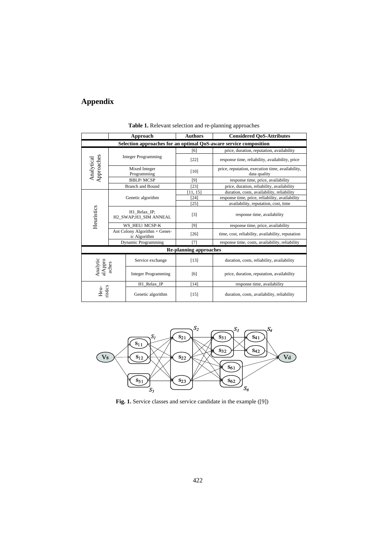## **Appendix**

|                                                                   |                                               | Approach                     | <b>Authors</b>                | <b>Considered QoS-Attributes</b>                                 |  |
|-------------------------------------------------------------------|-----------------------------------------------|------------------------------|-------------------------------|------------------------------------------------------------------|--|
| Selection approaches for an optimal QoS-aware service composition |                                               |                              |                               |                                                                  |  |
|                                                                   | <b>Integer Programming</b>                    |                              | [6]                           | price, duration, reputation, availability                        |  |
|                                                                   |                                               |                              | $[22]$                        | response time, reliability, availability, price                  |  |
| Approaches<br>Analytical                                          |                                               | Mixed Integer<br>Programming | [10]                          | price, reputation, execution time, availability,<br>data quality |  |
|                                                                   |                                               | <b>BBLP/MCSP</b>             | [9]                           | response time, price, availability                               |  |
|                                                                   |                                               | <b>Branch and Bound</b>      | $[23]$                        | price, duration, reliability, availability                       |  |
|                                                                   | Genetic algorithm                             |                              | 11, 15                        | duration, costs, availability, reliability                       |  |
|                                                                   |                                               |                              | $[24]$                        | response time, price, reliability, availability                  |  |
|                                                                   |                                               |                              | [25]                          | availability, reputation, cost, time                             |  |
| Heuristics                                                        | H1 Relax IP;<br>H2_SWAP;H3_SIM ANNEAL         |                              | $[3]$                         | response time, availability                                      |  |
|                                                                   | WS HEU/MCSP-K                                 |                              | [9]                           | response time, price, availability                               |  |
|                                                                   | Ant Colony Algorithm + Genet-<br>ic Algorithm |                              | $[26]$                        | time, cost, reliability, availability, reputation                |  |
|                                                                   |                                               | <b>Dynamic Programming</b>   | $[7]$                         | response time, costs, availability, reliability                  |  |
|                                                                   |                                               |                              | <b>Re-planning approaches</b> |                                                                  |  |
| Appro                                                             | Service exchange                              |                              | $[13]$                        | duration, costs, reliability, availability                       |  |
| Analytic                                                          | aches                                         | <b>Integer Programming</b>   | [6]                           | price, duration, reputation, availability                        |  |
|                                                                   |                                               | H1_Relax_IP                  | $[14]$                        | response time, availability                                      |  |
| ristics<br>Heu-                                                   |                                               | Genetic algorithm            | [15]                          | duration, costs, availability, reliability                       |  |

**Table 1.** Relevant selection and re-planning approaches



**Fig. 1.** Service classes and service candidate in the example ([9])